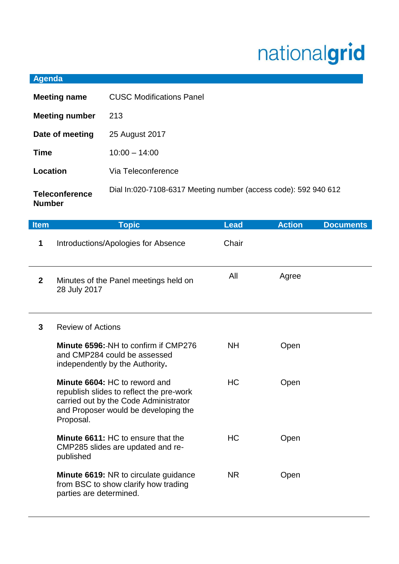## nationalgrid

## **Agenda**

| <b>Meeting name</b>                    | <b>CUSC Modifications Panel</b>                                 |
|----------------------------------------|-----------------------------------------------------------------|
| <b>Meeting number</b>                  | 213                                                             |
| Date of meeting                        | 25 August 2017                                                  |
| Time                                   | $10:00 - 14:00$                                                 |
| Location                               | Via Teleconference                                              |
| <b>Teleconference</b><br><b>Number</b> | Dial In:020-7108-6317 Meeting number (access code): 592 940 612 |

| <b>Item</b>  | <b>Topic</b>                                                                                                                                                            | <b>Lead</b> | <b>Action</b> | <b>Documents</b> |
|--------------|-------------------------------------------------------------------------------------------------------------------------------------------------------------------------|-------------|---------------|------------------|
| 1            | Introductions/Apologies for Absence                                                                                                                                     | Chair       |               |                  |
| $\mathbf{2}$ | Minutes of the Panel meetings held on<br>28 July 2017                                                                                                                   | All         | Agree         |                  |
| 3            | <b>Review of Actions</b>                                                                                                                                                |             |               |                  |
|              | <b>Minute 6596: NH to confirm if CMP276</b><br>and CMP284 could be assessed<br>independently by the Authority.                                                          | <b>NH</b>   | Open          |                  |
|              | Minute 6604: HC to reword and<br>republish slides to reflect the pre-work<br>carried out by the Code Administrator<br>and Proposer would be developing the<br>Proposal. | <b>HC</b>   | Open          |                  |
|              | <b>Minute 6611: HC to ensure that the</b><br>CMP285 slides are updated and re-<br>published                                                                             | HC          | Open          |                  |
|              | <b>Minute 6619: NR to circulate guidance</b><br>from BSC to show clarify how trading<br>parties are determined.                                                         | <b>NR</b>   | Open          |                  |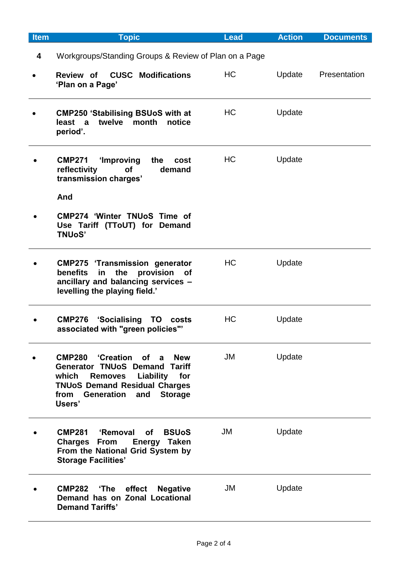| Item | <b>Topic</b>                                                                                                                                                                                                                   | <b>Lead</b> | <b>Action</b> | <b>Documents</b> |
|------|--------------------------------------------------------------------------------------------------------------------------------------------------------------------------------------------------------------------------------|-------------|---------------|------------------|
| 4    | Workgroups/Standing Groups & Review of Plan on a Page                                                                                                                                                                          |             |               |                  |
|      | <b>CUSC Modifications</b><br>Review of<br>'Plan on a Page'                                                                                                                                                                     | HC          | Update        | Presentation     |
|      | <b>CMP250 'Stabilising BSUoS with at</b><br>twelve<br>month<br>notice<br>least a<br>period'.                                                                                                                                   | HC          | Update        |                  |
|      | <b>CMP271</b><br>'Improving<br>the<br>cost<br>reflectivity<br><b>of</b><br>demand<br>transmission charges'<br>And                                                                                                              | HC          | Update        |                  |
|      | CMP274 'Winter TNUoS Time of<br>Use Tariff (TToUT) for Demand<br><b>TNUoS'</b>                                                                                                                                                 |             |               |                  |
|      | <b>CMP275 'Transmission generator</b><br>the<br>benefits<br>provision<br>in<br><b>of</b><br>ancillary and balancing services -<br>levelling the playing field.'                                                                | HC          | Update        |                  |
|      | <b>CMP276</b><br>'Socialising<br>TO<br>costs<br>associated with "green policies"'                                                                                                                                              | HC          | Update        |                  |
|      | <b>Creation</b><br><b>CMP280</b><br>of a<br><b>New</b><br><b>Generator TNUoS Demand Tariff</b><br>which<br>Removes Liability for<br><b>TNUoS Demand Residual Charges</b><br><b>Storage</b><br>Generation and<br>from<br>Users' | JM          | Update        |                  |
|      | CMP281 'Removal<br>of<br><b>BSUoS</b><br><b>Charges From</b><br>Energy Taken<br>From the National Grid System by<br><b>Storage Facilities'</b>                                                                                 | JM          | Update        |                  |
|      | CMP282 'The<br>effect<br><b>Negative</b><br>Demand has on Zonal Locational<br><b>Demand Tariffs'</b>                                                                                                                           | JM          | Update        |                  |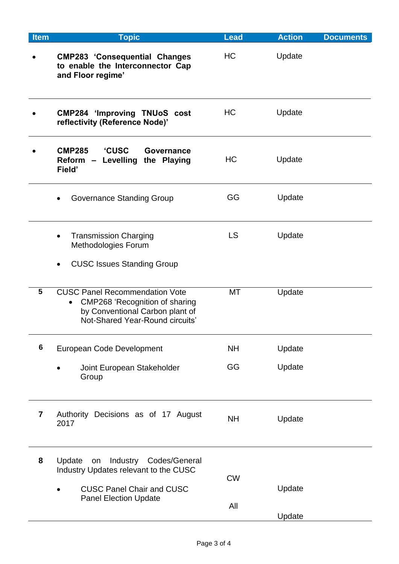| <b>Item</b>    | <b>Topic</b>                                                                                                                                                      | <b>Lead</b> | <b>Action</b> | <b>Documents</b> |
|----------------|-------------------------------------------------------------------------------------------------------------------------------------------------------------------|-------------|---------------|------------------|
|                | <b>CMP283 'Consequential Changes</b><br>to enable the Interconnector Cap<br>and Floor regime'                                                                     | HC          | Update        |                  |
|                | <b>CMP284 'Improving TNUoS cost</b><br>reflectivity (Reference Node)'                                                                                             | HC          | Update        |                  |
|                | <b>CUSC</b><br><b>CMP285</b><br><b>Governance</b><br>Levelling the Playing<br>Reform -<br>Field'                                                                  | <b>HC</b>   | Update        |                  |
|                | <b>Governance Standing Group</b>                                                                                                                                  | GG          | Update        |                  |
|                | <b>Transmission Charging</b><br><b>Methodologies Forum</b>                                                                                                        | LS          | Update        |                  |
|                | <b>CUSC Issues Standing Group</b>                                                                                                                                 |             |               |                  |
| 5              | <b>CUSC Panel Recommendation Vote</b><br><b>CMP268 'Recognition of sharing</b><br>$\bullet$<br>by Conventional Carbon plant of<br>Not-Shared Year-Round circuits' | МT          | Update        |                  |
| 6              | European Code Development                                                                                                                                         | <b>NH</b>   | Update        |                  |
|                | Joint European Stakeholder<br>Group                                                                                                                               | GG          | Update        |                  |
| $\overline{7}$ | Authority Decisions as of 17 August<br>2017                                                                                                                       | <b>NH</b>   | Update        |                  |
| 8              | Update<br>Industry Codes/General<br>on<br>Industry Updates relevant to the CUSC                                                                                   |             |               |                  |
|                | <b>CUSC Panel Chair and CUSC</b><br><b>Panel Election Update</b>                                                                                                  | <b>CW</b>   | Update        |                  |
|                |                                                                                                                                                                   | All         | Update        |                  |